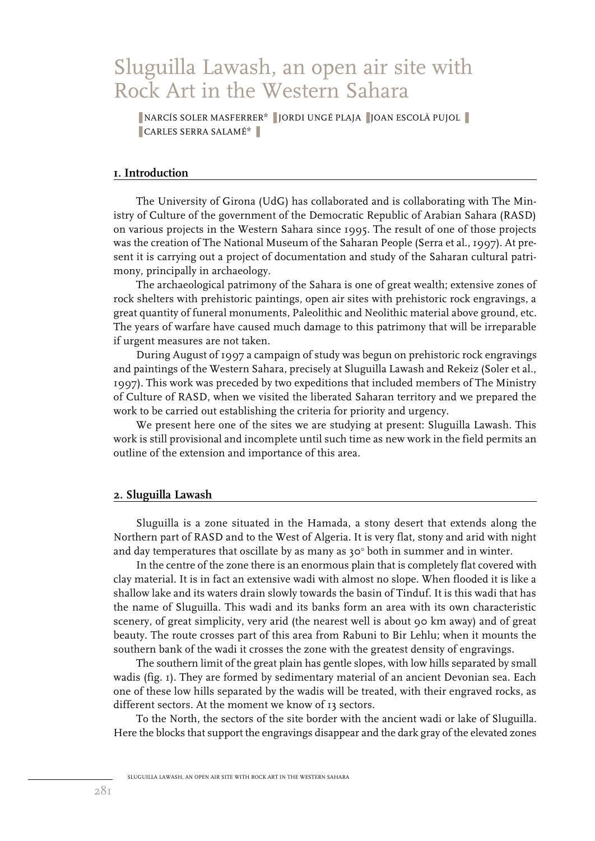# Sluguilla Lawash, an open air site with Rock Art in the Western Sahara

■ NARCÍS SOLER MASFERRER\* ■ JORDI UNGÉ PLAJA ■ JOAN ESCOLÀ PUJOL ■ ■ CARLES SERRA SALAMÉ\* ■

## **1. Introduction**

The University of Girona (UdG) has collaborated and is collaborating with The Ministry of Culture of the government of the Democratic Republic of Arabian Sahara (RASD) on various projects in the Western Sahara since 1995. The result of one of those projects was the creation of The National Museum of the Saharan People (Serra et al., 1997). At present it is carrying out a project of documentation and study of the Saharan cultural patrimony, principally in archaeology.

The archaeological patrimony of the Sahara is one of great wealth; extensive zones of rock shelters with prehistoric paintings, open air sites with prehistoric rock engravings, a great quantity of funeral monuments, Paleolithic and Neolithic material above ground, etc. The years of warfare have caused much damage to this patrimony that will be irreparable if urgent measures are not taken.

During August of 1997 a campaign of study was begun on prehistoric rock engravings and paintings of the Western Sahara, precisely at Sluguilla Lawash and Rekeiz (Soler et al., 1997). This work was preceded by two expeditions that included members of The Ministry of Culture of RASD, when we visited the liberated Saharan territory and we prepared the work to be carried out establishing the criteria for priority and urgency.

We present here one of the sites we are studying at present: Sluguilla Lawash. This work is still provisional and incomplete until such time as new work in the field permits an outline of the extension and importance of this area.

## **2. Sluguilla Lawash**

Sluguilla is a zone situated in the Hamada, a stony desert that extends along the Northern part of RASD and to the West of Algeria. It is very flat, stony and arid with night and day temperatures that oscillate by as many as  $30^{\circ}$  both in summer and in winter.

In the centre of the zone there is an enormous plain that is completely flat covered with clay material. It is in fact an extensive wadi with almost no slope. When flooded it is like a shallow lake and its waters drain slowly towards the basin of Tinduf. It is this wadi that has the name of Sluguilla. This wadi and its banks form an area with its own characteristic scenery, of great simplicity, very arid (the nearest well is about 90 km away) and of great beauty. The route crosses part of this area from Rabuni to Bir Lehlu; when it mounts the southern bank of the wadi it crosses the zone with the greatest density of engravings.

The southern limit of the great plain has gentle slopes, with low hills separated by small wadis (fig. 1). They are formed by sedimentary material of an ancient Devonian sea. Each one of these low hills separated by the wadis will be treated, with their engraved rocks, as different sectors. At the moment we know of 13 sectors.

To the North, the sectors of the site border with the ancient wadi or lake of Sluguilla. Here the blocks that support the engravings disappear and the dark gray of the elevated zones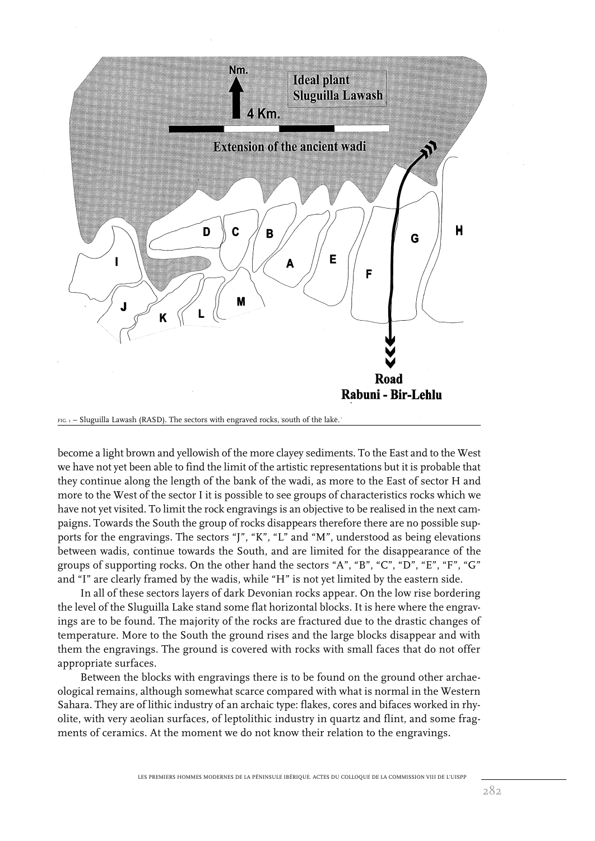

FIG. 1 – Sluguilla Lawash (RASD). The sectors with engraved rocks, south of the lake.

become a light brown and yellowish of the more clayey sediments. To the East and to the West we have not yet been able to find the limit of the artistic representations but it is probable that they continue along the length of the bank of the wadi, as more to the East of sector H and more to the West of the sector I it is possible to see groups of characteristics rocks which we have not yet visited. To limit the rock engravings is an objective to be realised in the next campaigns. Towards the South the group of rocks disappears therefore there are no possible supports for the engravings. The sectors "J", "K", "L" and "M", understood as being elevations between wadis, continue towards the South, and are limited for the disappearance of the groups of supporting rocks. On the other hand the sectors "A", "B", "C", "D", "E", "F", "G" and "I" are clearly framed by the wadis, while "H" is not yet limited by the eastern side.

In all of these sectors layers of dark Devonian rocks appear. On the low rise bordering the level of the Sluguilla Lake stand some flat horizontal blocks. It is here where the engravings are to be found. The majority of the rocks are fractured due to the drastic changes of temperature. More to the South the ground rises and the large blocks disappear and with them the engravings. The ground is covered with rocks with small faces that do not offer appropriate surfaces.

Between the blocks with engravings there is to be found on the ground other archaeological remains, although somewhat scarce compared with what is normal in the Western Sahara. They are of lithic industry of an archaic type: flakes, cores and bifaces worked in rhyolite, with very aeolian surfaces, of leptolithic industry in quartz and flint, and some fragments of ceramics. At the moment we do not know their relation to the engravings.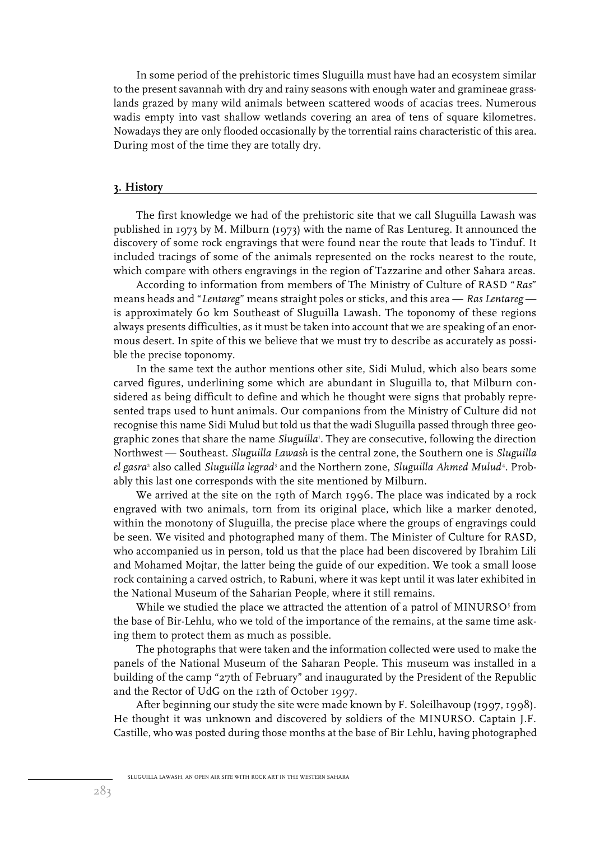In some period of the prehistoric times Sluguilla must have had an ecosystem similar to the present savannah with dry and rainy seasons with enough water and gramineae grasslands grazed by many wild animals between scattered woods of acacias trees. Numerous wadis empty into vast shallow wetlands covering an area of tens of square kilometres. Nowadays they are only flooded occasionally by the torrential rains characteristic of this area. During most of the time they are totally dry.

### **3. History**

The first knowledge we had of the prehistoric site that we call Sluguilla Lawash was published in 1973 by M. Milburn (1973) with the name of Ras Lentureg. It announced the discovery of some rock engravings that were found near the route that leads to Tinduf. It included tracings of some of the animals represented on the rocks nearest to the route, which compare with others engravings in the region of Tazzarine and other Sahara areas.

According to information from members of The Ministry of Culture of RASD "*Ras*" means heads and "*Lentareg*" means straight poles or sticks, and this area — *Ras Lentareg* is approximately 60 km Southeast of Sluguilla Lawash. The toponomy of these regions always presents difficulties, as it must be taken into account that we are speaking of an enormous desert. In spite of this we believe that we must try to describe as accurately as possible the precise toponomy.

In the same text the author mentions other site, Sidi Mulud, which also bears some carved figures, underlining some which are abundant in Sluguilla to, that Milburn considered as being difficult to define and which he thought were signs that probably represented traps used to hunt animals. Our companions from the Ministry of Culture did not recognise this name Sidi Mulud but told us that the wadi Sluguilla passed through three geographic zones that share the name *Sluguilla*<sup>1</sup> . They are consecutive, following the direction Northwest — Southeast. *Sluguilla Lawash* is the central zone, the Southern one is *Sluguilla el gasra*' also called *Sluguilla legrad*' and the Northern zone, *Sluguilla Ahmed Mulud'*. Probably this last one corresponds with the site mentioned by Milburn.

We arrived at the site on the 19th of March 1996. The place was indicated by a rock engraved with two animals, torn from its original place, which like a marker denoted, within the monotony of Sluguilla, the precise place where the groups of engravings could be seen. We visited and photographed many of them. The Minister of Culture for RASD, who accompanied us in person, told us that the place had been discovered by Ibrahim Lili and Mohamed Mojtar, the latter being the guide of our expedition. We took a small loose rock containing a carved ostrich, to Rabuni, where it was kept until it was later exhibited in the National Museum of the Saharian People, where it still remains.

While we studied the place we attracted the attention of a patrol of MINURSO $5$  from the base of Bir-Lehlu, who we told of the importance of the remains, at the same time asking them to protect them as much as possible.

The photographs that were taken and the information collected were used to make the panels of the National Museum of the Saharan People. This museum was installed in a building of the camp "27th of February" and inaugurated by the President of the Republic and the Rector of UdG on the 12th of October 1997.

After beginning our study the site were made known by F. Soleilhavoup (1997, 1998). He thought it was unknown and discovered by soldiers of the MINURSO. Captain J.F. Castille, who was posted during those months at the base of Bir Lehlu, having photographed

SLUGUILLA LAWASH, AN OPEN AIR SITE WITH ROCK ART IN THE WESTERN SAHARA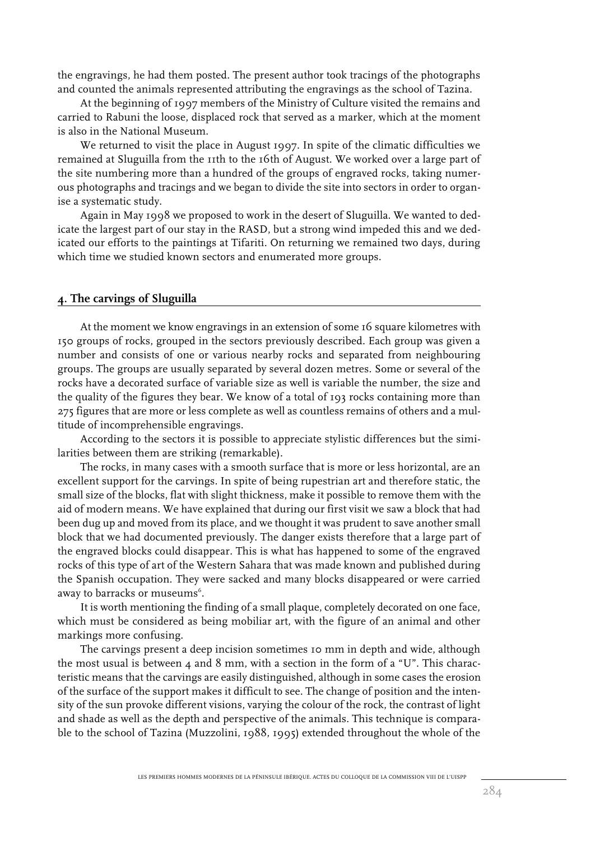the engravings, he had them posted. The present author took tracings of the photographs and counted the animals represented attributing the engravings as the school of Tazina.

At the beginning of 1997 members of the Ministry of Culture visited the remains and carried to Rabuni the loose, displaced rock that served as a marker, which at the moment is also in the National Museum.

We returned to visit the place in August 1997. In spite of the climatic difficulties we remained at Sluguilla from the 11th to the 16th of August. We worked over a large part of the site numbering more than a hundred of the groups of engraved rocks, taking numerous photographs and tracings and we began to divide the site into sectors in order to organise a systematic study.

Again in May 1998 we proposed to work in the desert of Sluguilla. We wanted to dedicate the largest part of our stay in the RASD, but a strong wind impeded this and we dedicated our efforts to the paintings at Tifariti. On returning we remained two days, during which time we studied known sectors and enumerated more groups.

# **4. The carvings of Sluguilla**

At the moment we know engravings in an extension of some 16 square kilometres with 150 groups of rocks, grouped in the sectors previously described. Each group was given a number and consists of one or various nearby rocks and separated from neighbouring groups. The groups are usually separated by several dozen metres. Some or several of the rocks have a decorated surface of variable size as well is variable the number, the size and the quality of the figures they bear. We know of a total of 193 rocks containing more than 275 figures that are more or less complete as well as countless remains of others and a multitude of incomprehensible engravings.

According to the sectors it is possible to appreciate stylistic differences but the similarities between them are striking (remarkable).

The rocks, in many cases with a smooth surface that is more or less horizontal, are an excellent support for the carvings. In spite of being rupestrian art and therefore static, the small size of the blocks, flat with slight thickness, make it possible to remove them with the aid of modern means. We have explained that during our first visit we saw a block that had been dug up and moved from its place, and we thought it was prudent to save another small block that we had documented previously. The danger exists therefore that a large part of the engraved blocks could disappear. This is what has happened to some of the engraved rocks of this type of art of the Western Sahara that was made known and published during the Spanish occupation. They were sacked and many blocks disappeared or were carried away to barracks or museums $^{\rm 6}.$ 

It is worth mentioning the finding of a small plaque, completely decorated on one face, which must be considered as being mobiliar art, with the figure of an animal and other markings more confusing.

The carvings present a deep incision sometimes 10 mm in depth and wide, although the most usual is between  $4$  and  $8$  mm, with a section in the form of a "U". This characteristic means that the carvings are easily distinguished, although in some cases the erosion of the surface of the support makes it difficult to see. The change of position and the intensity of the sun provoke different visions, varying the colour of the rock, the contrast of light and shade as well as the depth and perspective of the animals. This technique is comparable to the school of Tazina (Muzzolini, 1988, 1995) extended throughout the whole of the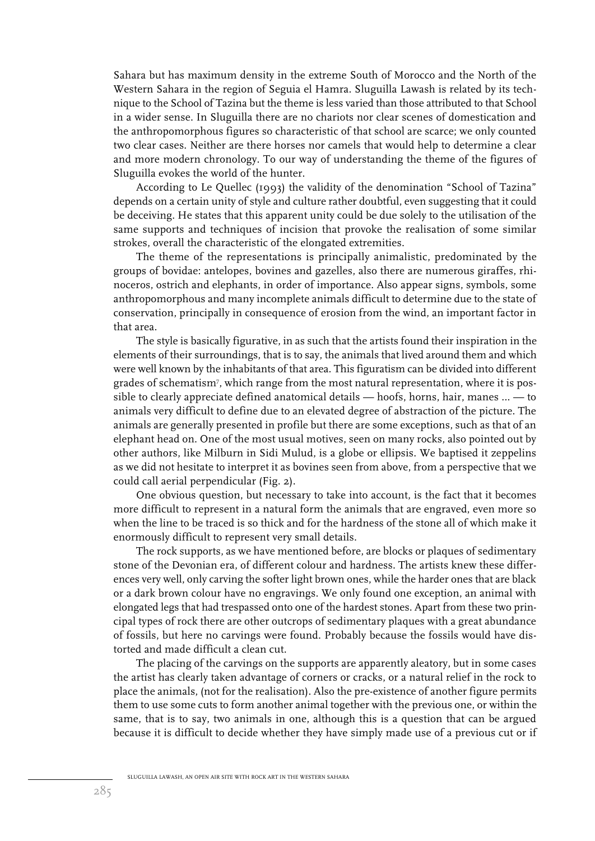Sahara but has maximum density in the extreme South of Morocco and the North of the Western Sahara in the region of Seguia el Hamra. Sluguilla Lawash is related by its technique to the School of Tazina but the theme is less varied than those attributed to that School in a wider sense. In Sluguilla there are no chariots nor clear scenes of domestication and the anthropomorphous figures so characteristic of that school are scarce; we only counted two clear cases. Neither are there horses nor camels that would help to determine a clear and more modern chronology. To our way of understanding the theme of the figures of Sluguilla evokes the world of the hunter.

According to Le Quellec (1993) the validity of the denomination "School of Tazina" depends on a certain unity of style and culture rather doubtful, even suggesting that it could be deceiving. He states that this apparent unity could be due solely to the utilisation of the same supports and techniques of incision that provoke the realisation of some similar strokes, overall the characteristic of the elongated extremities.

The theme of the representations is principally animalistic, predominated by the groups of bovidae: antelopes, bovines and gazelles, also there are numerous giraffes, rhinoceros, ostrich and elephants, in order of importance. Also appear signs, symbols, some anthropomorphous and many incomplete animals difficult to determine due to the state of conservation, principally in consequence of erosion from the wind, an important factor in that area.

The style is basically figurative, in as such that the artists found their inspiration in the elements of their surroundings, that is to say, the animals that lived around them and which were well known by the inhabitants of that area. This figuratism can be divided into different grades of schematism7 , which range from the most natural representation, where it is possible to clearly appreciate defined anatomical details — hoofs, horns, hair, manes ... — to animals very difficult to define due to an elevated degree of abstraction of the picture. The animals are generally presented in profile but there are some exceptions, such as that of an elephant head on. One of the most usual motives, seen on many rocks, also pointed out by other authors, like Milburn in Sidi Mulud, is a globe or ellipsis. We baptised it zeppelins as we did not hesitate to interpret it as bovines seen from above, from a perspective that we could call aerial perpendicular (Fig. 2).

One obvious question, but necessary to take into account, is the fact that it becomes more difficult to represent in a natural form the animals that are engraved, even more so when the line to be traced is so thick and for the hardness of the stone all of which make it enormously difficult to represent very small details.

The rock supports, as we have mentioned before, are blocks or plaques of sedimentary stone of the Devonian era, of different colour and hardness. The artists knew these differences very well, only carving the softer light brown ones, while the harder ones that are black or a dark brown colour have no engravings. We only found one exception, an animal with elongated legs that had trespassed onto one of the hardest stones. Apart from these two principal types of rock there are other outcrops of sedimentary plaques with a great abundance of fossils, but here no carvings were found. Probably because the fossils would have distorted and made difficult a clean cut.

The placing of the carvings on the supports are apparently aleatory, but in some cases the artist has clearly taken advantage of corners or cracks, or a natural relief in the rock to place the animals, (not for the realisation). Also the pre-existence of another figure permits them to use some cuts to form another animal together with the previous one, or within the same, that is to say, two animals in one, although this is a question that can be argued because it is difficult to decide whether they have simply made use of a previous cut or if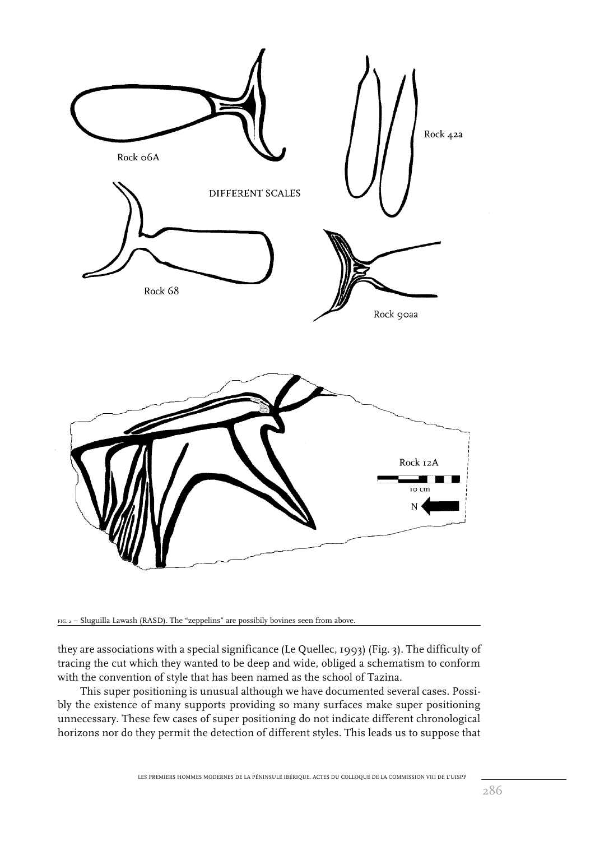

FIG. 2 – Sluguilla Lawash (RASD). The "zeppelins" are possibily bovines seen from above.

they are associations with a special significance (Le Quellec, 1993) (Fig. 3). The difficulty of tracing the cut which they wanted to be deep and wide, obliged a schematism to conform with the convention of style that has been named as the school of Tazina.

This super positioning is unusual although we have documented several cases. Possibly the existence of many supports providing so many surfaces make super positioning unnecessary. These few cases of super positioning do not indicate different chronological horizons nor do they permit the detection of different styles. This leads us to suppose that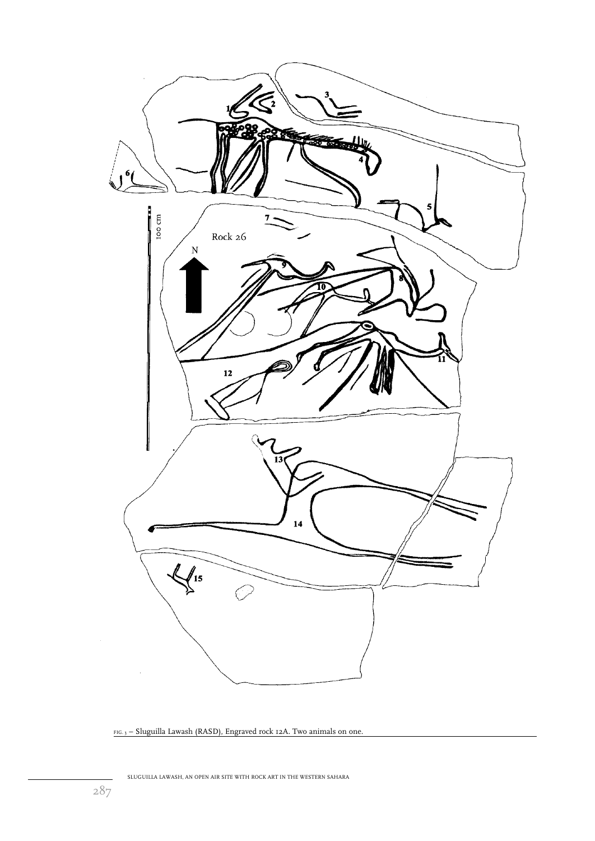

FIG. 3 – Sluguilla Lawash (RASD), Engraved rock 12A. Two animals on one.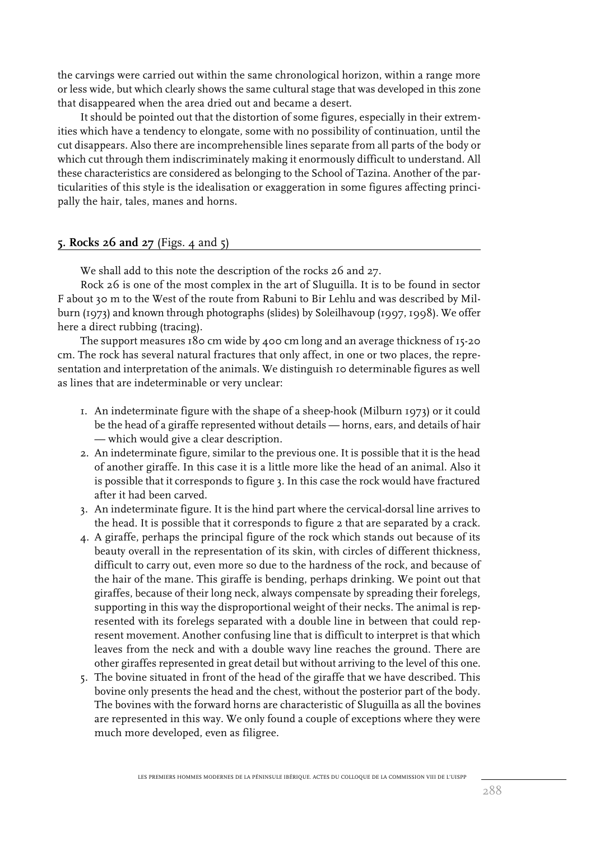the carvings were carried out within the same chronological horizon, within a range more or less wide, but which clearly shows the same cultural stage that was developed in this zone that disappeared when the area dried out and became a desert.

It should be pointed out that the distortion of some figures, especially in their extremities which have a tendency to elongate, some with no possibility of continuation, until the cut disappears. Also there are incomprehensible lines separate from all parts of the body or which cut through them indiscriminately making it enormously difficult to understand. All these characteristics are considered as belonging to the School of Tazina. Another of the particularities of this style is the idealisation or exaggeration in some figures affecting principally the hair, tales, manes and horns.

# **5. Rocks 26 and 27** (Figs. 4 and 5)

We shall add to this note the description of the rocks 26 and 27.

Rock 26 is one of the most complex in the art of Sluguilla. It is to be found in sector F about 30 m to the West of the route from Rabuni to Bir Lehlu and was described by Milburn (1973) and known through photographs (slides) by Soleilhavoup (1997, 1998). We offer here a direct rubbing (tracing).

The support measures 180 cm wide by 400 cm long and an average thickness of 15-20 cm. The rock has several natural fractures that only affect, in one or two places, the representation and interpretation of the animals. We distinguish 10 determinable figures as well as lines that are indeterminable or very unclear:

- 1. An indeterminate figure with the shape of a sheep-hook (Milburn 1973) or it could be the head of a giraffe represented without details — horns, ears, and details of hair — which would give a clear description.
- 2. An indeterminate figure, similar to the previous one. It is possible that it is the head of another giraffe. In this case it is a little more like the head of an animal. Also it is possible that it corresponds to figure 3. In this case the rock would have fractured after it had been carved.
- 3. An indeterminate figure. It is the hind part where the cervical-dorsal line arrives to the head. It is possible that it corresponds to figure 2 that are separated by a crack.
- 4. A giraffe, perhaps the principal figure of the rock which stands out because of its beauty overall in the representation of its skin, with circles of different thickness, difficult to carry out, even more so due to the hardness of the rock, and because of the hair of the mane. This giraffe is bending, perhaps drinking. We point out that giraffes, because of their long neck, always compensate by spreading their forelegs, supporting in this way the disproportional weight of their necks. The animal is represented with its forelegs separated with a double line in between that could represent movement. Another confusing line that is difficult to interpret is that which leaves from the neck and with a double wavy line reaches the ground. There are other giraffes represented in great detail but without arriving to the level of this one.
- 5. The bovine situated in front of the head of the giraffe that we have described. This bovine only presents the head and the chest, without the posterior part of the body. The bovines with the forward horns are characteristic of Sluguilla as all the bovines are represented in this way. We only found a couple of exceptions where they were much more developed, even as filigree.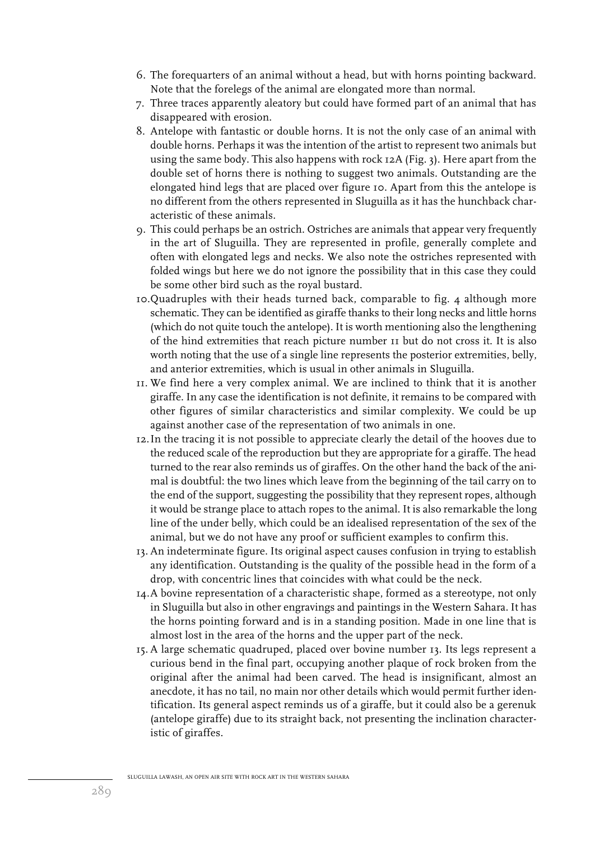- 6. The forequarters of an animal without a head, but with horns pointing backward. Note that the forelegs of the animal are elongated more than normal.
- 7. Three traces apparently aleatory but could have formed part of an animal that has disappeared with erosion.
- 8. Antelope with fantastic or double horns. It is not the only case of an animal with double horns. Perhaps it was the intention of the artist to represent two animals but using the same body. This also happens with rock 12A (Fig. 3). Here apart from the double set of horns there is nothing to suggest two animals. Outstanding are the elongated hind legs that are placed over figure 10. Apart from this the antelope is no different from the others represented in Sluguilla as it has the hunchback characteristic of these animals.
- 9. This could perhaps be an ostrich. Ostriches are animals that appear very frequently in the art of Sluguilla. They are represented in profile, generally complete and often with elongated legs and necks. We also note the ostriches represented with folded wings but here we do not ignore the possibility that in this case they could be some other bird such as the royal bustard.
- 10.Quadruples with their heads turned back, comparable to fig. 4 although more schematic. They can be identified as giraffe thanks to their long necks and little horns (which do not quite touch the antelope). It is worth mentioning also the lengthening of the hind extremities that reach picture number 11 but do not cross it. It is also worth noting that the use of a single line represents the posterior extremities, belly, and anterior extremities, which is usual in other animals in Sluguilla.
- 11. We find here a very complex animal. We are inclined to think that it is another giraffe. In any case the identification is not definite, it remains to be compared with other figures of similar characteristics and similar complexity. We could be up against another case of the representation of two animals in one.
- 12.In the tracing it is not possible to appreciate clearly the detail of the hooves due to the reduced scale of the reproduction but they are appropriate for a giraffe. The head turned to the rear also reminds us of giraffes. On the other hand the back of the animal is doubtful: the two lines which leave from the beginning of the tail carry on to the end of the support, suggesting the possibility that they represent ropes, although it would be strange place to attach ropes to the animal. It is also remarkable the long line of the under belly, which could be an idealised representation of the sex of the animal, but we do not have any proof or sufficient examples to confirm this.
- 13. An indeterminate figure. Its original aspect causes confusion in trying to establish any identification. Outstanding is the quality of the possible head in the form of a drop, with concentric lines that coincides with what could be the neck.
- 14.A bovine representation of a characteristic shape, formed as a stereotype, not only in Sluguilla but also in other engravings and paintings in the Western Sahara. It has the horns pointing forward and is in a standing position. Made in one line that is almost lost in the area of the horns and the upper part of the neck.
- 15. A large schematic quadruped, placed over bovine number 13. Its legs represent a curious bend in the final part, occupying another plaque of rock broken from the original after the animal had been carved. The head is insignificant, almost an anecdote, it has no tail, no main nor other details which would permit further identification. Its general aspect reminds us of a giraffe, but it could also be a gerenuk (antelope giraffe) due to its straight back, not presenting the inclination characteristic of giraffes.

SLUGUILLA LAWASH, AN OPEN AIR SITE WITH ROCK ART IN THE WESTERN SAHARA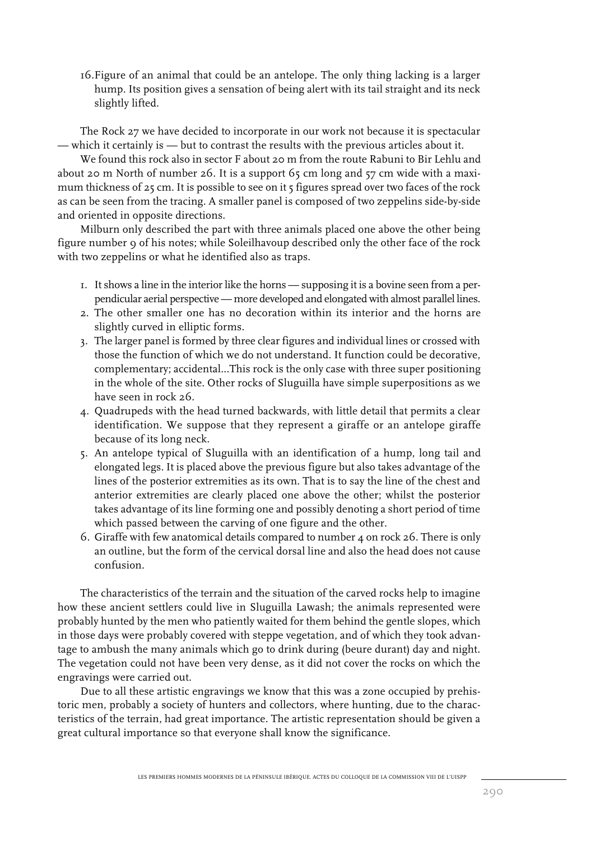16.Figure of an animal that could be an antelope. The only thing lacking is a larger hump. Its position gives a sensation of being alert with its tail straight and its neck slightly lifted.

The Rock 27 we have decided to incorporate in our work not because it is spectacular — which it certainly is — but to contrast the results with the previous articles about it.

We found this rock also in sector F about 20 m from the route Rabuni to Bir Lehlu and about 20 m North of number 26. It is a support  $65$  cm long and  $57$  cm wide with a maximum thickness of 25 cm. It is possible to see on it 5 figures spread over two faces of the rock as can be seen from the tracing. A smaller panel is composed of two zeppelins side-by-side and oriented in opposite directions.

Milburn only described the part with three animals placed one above the other being figure number 9 of his notes; while Soleilhavoup described only the other face of the rock with two zeppelins or what he identified also as traps.

- 1. It shows a line in the interior like the horns supposing it is a bovine seen from a perpendicular aerial perspective — more developed and elongated with almost parallel lines.
- 2. The other smaller one has no decoration within its interior and the horns are slightly curved in elliptic forms.
- 3. The larger panel is formed by three clear figures and individual lines or crossed with those the function of which we do not understand. It function could be decorative, complementary; accidental...This rock is the only case with three super positioning in the whole of the site. Other rocks of Sluguilla have simple superpositions as we have seen in rock 26.
- 4. Quadrupeds with the head turned backwards, with little detail that permits a clear identification. We suppose that they represent a giraffe or an antelope giraffe because of its long neck.
- 5. An antelope typical of Sluguilla with an identification of a hump, long tail and elongated legs. It is placed above the previous figure but also takes advantage of the lines of the posterior extremities as its own. That is to say the line of the chest and anterior extremities are clearly placed one above the other; whilst the posterior takes advantage of its line forming one and possibly denoting a short period of time which passed between the carving of one figure and the other.
- 6. Giraffe with few anatomical details compared to number 4 on rock 26. There is only an outline, but the form of the cervical dorsal line and also the head does not cause confusion.

The characteristics of the terrain and the situation of the carved rocks help to imagine how these ancient settlers could live in Sluguilla Lawash; the animals represented were probably hunted by the men who patiently waited for them behind the gentle slopes, which in those days were probably covered with steppe vegetation, and of which they took advantage to ambush the many animals which go to drink during (beure durant) day and night. The vegetation could not have been very dense, as it did not cover the rocks on which the engravings were carried out.

Due to all these artistic engravings we know that this was a zone occupied by prehistoric men, probably a society of hunters and collectors, where hunting, due to the characteristics of the terrain, had great importance. The artistic representation should be given a great cultural importance so that everyone shall know the significance.